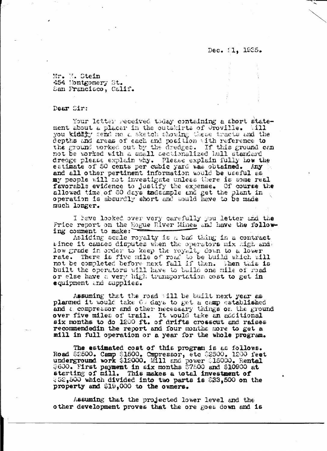Dec. 21, 1935.

Mr. M. Stein 454 Montgomery St. San Francisco, Calif.

Dear Sir:

Your letter received today containing a short statement about a placer in the outskirts of Oroville.  $-111$ you kiddy send me a sketch showing these tracts and the depths and areas of each and position with reference to the ground worked out by the dredges. If this ground can not be worked with a small sectionalized hall standard dredge please explain why. Please explain fully how the estimate of 50 cents per cubic yard was obtained. Any and all other pertinent information would be useful as my people will not investigate unless there is some real favorable evidence to justify the expense. Of course the allowed time of 60 days tadsample and get the plant in operation is absurdly short and would have to be made much longer.

I have looked over very carefully you letter and the Price report on the Eogue River Mines and have the following comment to make:

Asliding scale royalty is a bad thing in a contract since it causes disputes when the operators mix high and low grade in order to keep the royalty down to a lower rate. There is five mile of road to be build which will not be completed before next fall if then. When this is built the operators will have to build one mile of road or else have a very high transportation cost to get in equipment and supplies.

Assuming that the road vill be built next year as planned it would take 60 days to get a camp established and a compressor and other necessary things on the ground over five miles of trail. It would take an additional six months to do 1200 ft. of drifts crosscut and raises recommended in the report and four months more to get a mill in full operation or a year for the whole program.

The estimated cost of this program is as follows. Road \$2500. Camp \$1500. Cmpressor, etc \$2500. 1200 feet<br>underground work \$12000. Mill and power \$15000. Rental<br>\$600. First payment in six months \$7500 and \$10900 at<br>starting of mill. This makes a total investment of  $452,500$  which divided into two parts is  $$33,500$  on the property and \$19,000 to the owners.

Assuming that the projected lower level and the other development proves that the ore goes down and is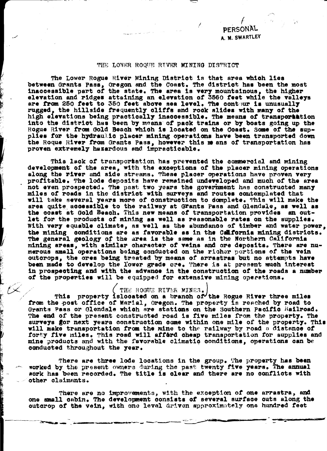PERSONAL A M. SWARTLEY

## THE LOWER ROQUE RIVER MINING DISTRICT

The Lower Rogue River Mining District is that area which lies between Grants Pass, Oregon and the Coast. The district has been the most inaccessible part of the state. The area is very mountainous, the higher elevation and ridges attaining an elevation of 3560 feet while the valleys are from 250 feet to 350 feet above sea level. The contpur is unusually rugged, the hillside frequently cliffs and rock slides with many of the high elevations being practically inaccessible. The means of transportation into the district has been by means of pack trains or by boats going up the Rogue River from Gold Beach which is located on the Coast. Some of the supplies for the hydraulic placer mining operations have been transported down the Roque River from Grants Pass, however this me ans of transportation has proven extremely hazardous and impracticable.

This lack of transportation has prevented the commercial and mining development of the area, with the exceptions of the placer mining operations along the river and side streams. These placer operations have proven very profitable. The lode deposits have remained undeveloped and much of the area not even prospected. The past two years the government has constructed many miles of roads in the district with surveys and routes contemplated that will take several years more of construction to domplete. This will make the area quite accessible to the railway at Grants Pass and Glendale, as well as the coast at Gold Beach. This new means of transportation provides an outlet for the products of mining as well as reasonable rates on the supplies. With very equable climate, as well as the abundance of timber and water power, the mining conditions are as favorable as in the Calfornia mining districts. The general geology of the area is the same as in the Northern California mining areas, with similar character of veins and ore deposits. There are numerous small operations being conducted on the richer pertions of the vein outcrops, the ores being treated by means of arrastras but no attempts have been made to develop the lower grade ore. There is at present much interest in prospecting and with the advance in the construction of the roads a number of the properties will be equipped for extensive mining operations.

## THE ROGUE RIVER MINES.

This property islocated on a branch of the Rogue River three miles from the post office of Marial, Oregon. The property is reached by road to Grants Pass or Glendale which are stations on the Southern Pacific Railroad. The end of the present constructed road is five miles from the property. The surveys gor next years construction come within one mile of the property. This will make transportation from the mine to the railway by road a distance of forty five miles. This road will afferd cheap transportation for supplies and mine products and with the favorable climatic conditions, operations can be conducted throughout the year.

There are three lode locations in the group. The property has been worked by the present owners during the past twenty five years. The annual work has been recorded. The title is clear and there are no conflicts with other claimants.

There are no improvements, with the exception of one arrastra, and one small cabin. The development consists of several surface cuts along the cutcrop of the vein, with one level driven approximately one hundred feet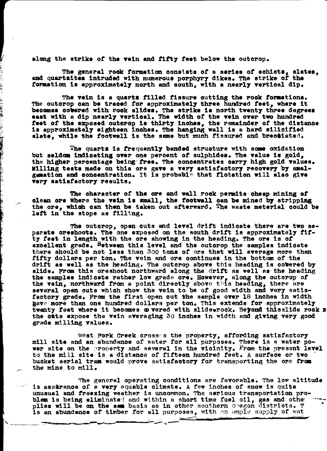along the strike of the vein and fifty feet below the outcrop.

The general rock formation consists of a series of schists, slates, and quartaites intruded with numerous porphyry dikes. The strike of the formation is approximately north and south, with a nearly vertical dip.

The vein is a quarts filled fissure outting the rock formations. The outcrop can be traced for approximately three hundred feet, where it becomes covered with rock slides. The strike is north twenty three degrees east with a dip nearly vertical. The width of the vein over two hundred feet of the exposed outcrop is thirty inches, the remainder of the distance<br>is approximately eighteen inches. The hanging wall is a hard silicified slate, while the footwall is the same but much fissured and breceiated.

The quarts is frequently banded structure with some oxidation but seldom indicating over one percent of sulphides. The value is gold, the higher percentage being free. The concentrates carry high gold values. Milling tests made on this ore gave a very satisfactory recovery by amalgamation and concentration. It is probable that flotation will also give very satisfactory results.

The character of the ore and wall rock permits cheap mining of clean ore Where the vein is small, the footwall can be mined by stripping the ore, which can then be taken out afterward. The waste material could be left in the stope as filling.

The outcrop, open cuts and level drift indicate there are two separate oreshoots. The one exposed on the south drift is approximately fifty feet in length with the ore showing in the heading. The ore is of excellent grade. Between this level and the outcrop the samples indicate there should be not less than 300 tons of ore that will average more than fifty dollars per ton. The vein and ore continues in the bottom of the drift as well as the heading. The outcrop above this heading is cobered by slide. From this oreshoot northward along the drift as well as the heading the samples indicate rather low grade ore. However, along the outcrop of the vein, northward from a point directly above this heading, there are several open cuts which show the vein to be of good width and very satisfactory grade. From the first open cut the sample over 18 inches in width have more than one hundred dollars per ton. This extends for approximately twenty feet where it becomes  $\omega$  vered with slide rock. Beyond thisslide rock x the cats expose the vein averaging 30 inches in width and giving very good grade milling values.

West Fork Creek crosses the property, affording satisfactory mill site and an abundance of water for all purposes. There is a water power site on the property and several in the vicinity. From the present level to the mill site is a distance of fifteen hundred feet. A surface or two bucket aerial tram would prove satisfactory for transporting the ore from the mine to mill.

The general operating conditions are favorable. The low altitude is assurance of a very equable climate. A few inches of snow is quite unusual and freezing weather is uncommon. The serious transportation problem is being eliminated and within a short time fuel oil, gas and other plies will be on the same basis as in other southern Oregon districts. T is an abundance of timber for all purposes, with an ample supply of wat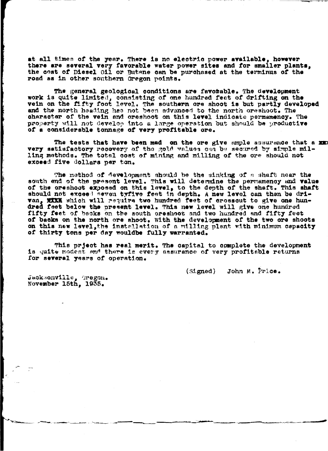at all times of the year. There is no electric power available, however there are several very favorable water power sites and for smaller plants, the cost of Diesel Oil or Butane can be purchased at the terminus of the road as in other southern Oregon points.

The general geological conditions are favorable. The development work is quite limited, consisting of one hundred feet of drifting on the vein on the fifty foot level. The southern ore shoot is but partly developed and the north heading has not been advanced to the north oreshoot. The character of the vein and oreshoot on this level indicate permanency. The property will not develop into a large operation but should be productive of a considerable tonnage of very profitable ore.

The tests that have been mad on the ore give ample assurance that a xx very satisfactory recovery of the gold values can be secured by simple milling methods. The total cost of mining and milling of the ore should not exceed five dollars per ton.

The method of development should be the sinking of a shaft near the south end of the present level. This will determine the permamency and value of the oreshoot exposed on this level, to the depth of the shaft. This shaft<br>should not exceed seven tyfive feet in depth. A new level can then be drivan, NIXK which will require two hundred feet of crossout to give one hundred feet below the present level. This new level will give one hundred feet below the present level. This new level will give one hundred fifty feet on this new level, the installation of a milling plant with minimum capacity of thirty tons per day wouldbe fully warranted.

This prject has real merit. The capital to complete the development is quite modest and there is every assurance of very profitable returns for several years of operation.

> John M. Price.  $(s<sub>i</sub>,<sub>g</sub>)$

Jacksonville, Oregon. November 15th, 1935.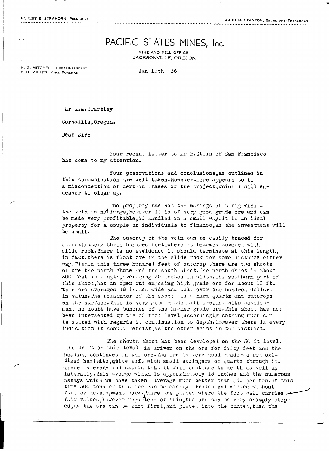JOHN C. STANTON, SECRETARY-TREASURER

## PACIFIC STATES MINES, Inc.

MINE AND MILL OFFICE. **JACKSONVILLE, OREGON** 

H. G. MITCHELL, SUPERINTENDENT P. H. MILLER, MINE FOREMAN

Jan  $I \cup th$  36

Mr A.M.Swartley

Corvallis, Oregon.

Dear Sir;

Your recent letter to Mr H.Stein of San Francisco has come to my attention.

Your observations and conclusions, as outlined in this communication are well taken. Howeverthere appears to be a misconception of certain phases of the project, which I will endeavor to clear up.

The property has not the makings of a big mine-the vein is not large, however it is of very good grade ore and can be made very profitable, if handled in a small way. It is an ideal property for a couple of individuals to finance, as the investment will be small.

The outcrop of the vein can be easily traced for approximately three hundred feet, where it becomes covered with slide rock. There is no eveidence it should terminate at this length. in fact, there is float ore in the slide rock for some distance either way. Within this three hundred feet of outcrop there are two shoots of ore the north chute and the south shoot. The north shoot is about 200 feet in length, averaging 30 inches in width. The southern part of this shoot, has an open cut exposing high grade ore for about 20 ft. This ore averages 18 inches wide and well over one hundred dollars in value. The remainder of the shoot is a hard quartz and outcrops on the surface. This is very good grade mill ore, and with development no doubt, have bunches of the higher grade ore. This shoot has not been intersected by the 50 foot level, accordingly nothing much can be stated with regards it continuation to depth. However there is every indication it should persist, as the other veins in the district.

The shouth shoot has been developed on the 50 ft level. The drift on this level is driven on the ore for fifty feet and the heading continues in the ore. The ore is very good grade--a red oxidized heritate, unite soft with small stringers of quartz through it. There is every indication that it will continue to depth as well as laterally. This averge width is approximately 18 inches and the numerous assays which we have taken average much better than 50 per ton.At this time 300 tons of this ore can be easily broken and milled without further development work. There are places where the foot wall carries fair values, however regarless of this, the ore can be very cheaply stoped, as the ore can be shot first, and placed into the chutes, then the